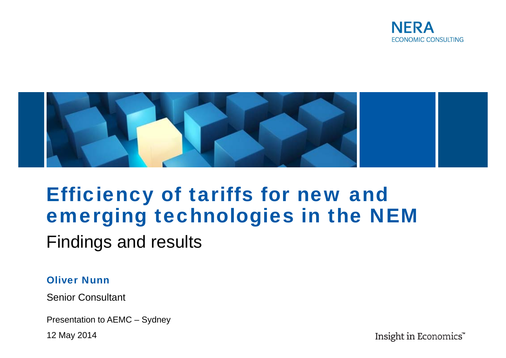



# Efficiency of tariffs for new and emerging technologies in the NEM

Findings and results

#### Oliver Nunn

Senior Consultant

Presentation to AEMC – Sydney

12 May 2014

Insight in Economics"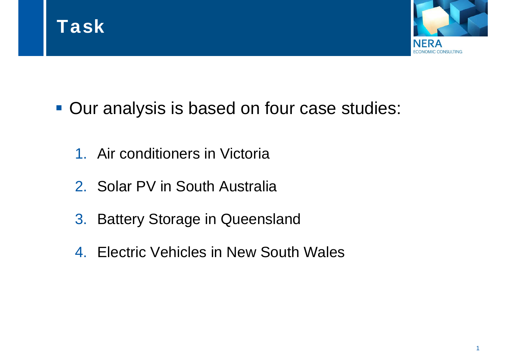



- **Our analysis is based on four case studies:** 
	- 1. Air conditioners in Victoria
	- 2. Solar PV in South Australia
	- 3. Battery Storage in Queensland
	- 4. Electric Vehicles in New South Wales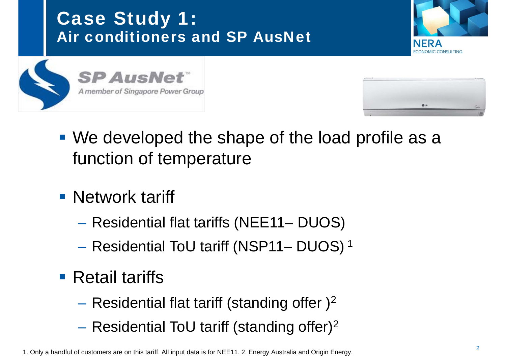Case Study 1: Air conditioners and SP AusNet







- We developed the shape of the load profile as a function of temperature
- **Network tariff** 
	- Residential flat tariffs (NEE11– DUOS)
	- –- Residential ToU tariff (NSP11- DUOS) <sup>1</sup>
- **Retail tariffs** 
	- $-$  Residential flat tariff (standing offer )<sup>2</sup>
	- – $-$  Residential ToU tariff (standing offer)<sup>2</sup>

1. Only a handful of customers are on this tariff. All input data is for NEE11. 2. Energy Australia and Origin Energy.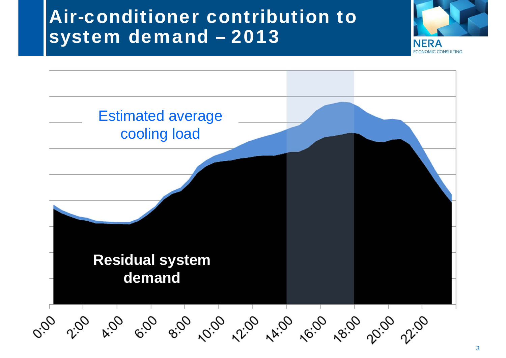## Air-conditioner contribution to system demand – 2013



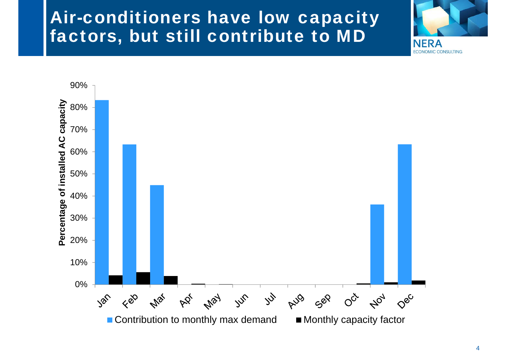#### Air-conditioners have low capacity factors, but still contribute to MD



**NERA** 

**ECONOMIC CONSULTING**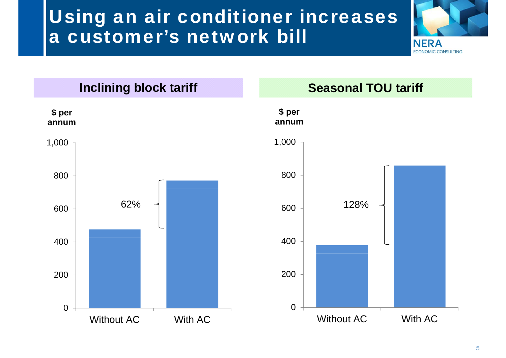# Using an air conditioner increases a customer's network bill





5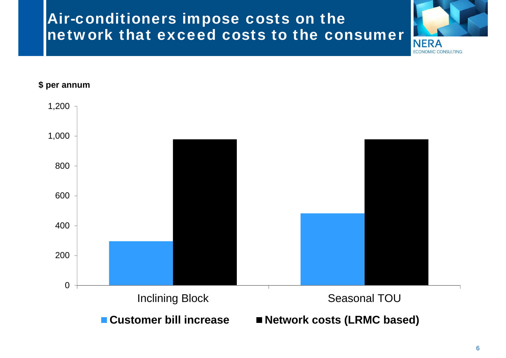#### Air-conditioners impose costs on the network that exceed costs to the consumer



**ECONOMIC CONSULTING** 

**\$ per annum**



6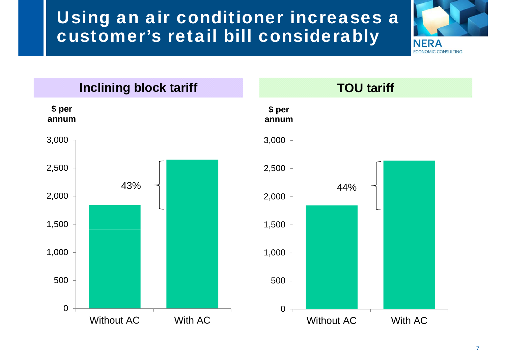#### Using an air conditioner increases a customer's retail bill considerably



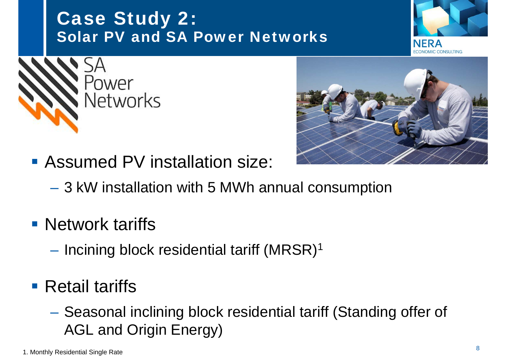#### Case Study 2: Solar PV and SA Power Networks

- Assumed PV installation size:
	- –3 kW installation with 5 MWh annual consumption
- **Network tariffs** 
	- –<br>–<br>–  $-$  Incining block residential tariff (MRSR)<sup>1</sup>
- **Retail tariffs** 
	- Seasonal inclining block residential tariff (Standing offer of AGL and Origin Energy)



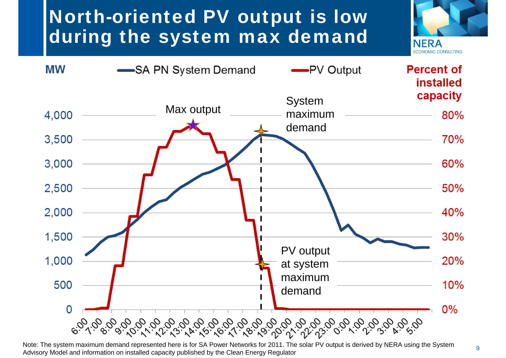# North-oriented PV output is low during the system max demand





Note: The system maximum demand represented here is for SA Power Networks for 2011. The solar PV output is derived by NERA using the System Advisory Model and information on installed capacity published by the Clean Energy Regulator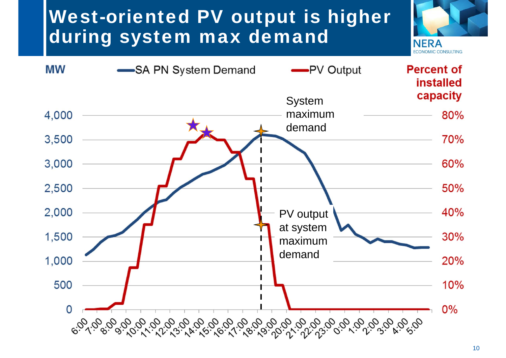# West-oriented PV output is higher during system max demand



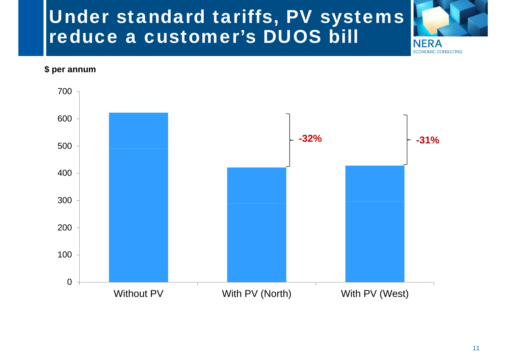# Under standard tariffs, PV systems reduce a customer's DUOS bill

**\$ per annum**



**NERA** 

**ECONOMIC CONSULTING**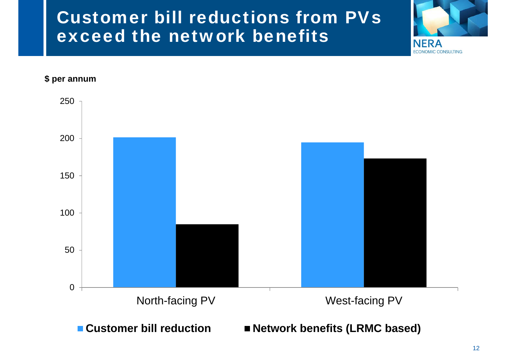#### Customer bill reductions from PVs exceed the network benefits



**ECONOMIC CONSULTING** 

**\$ per annum**

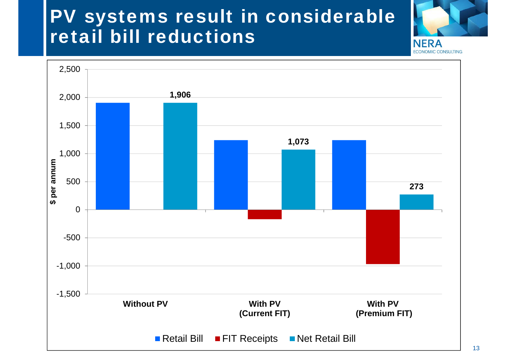## PV systems result in considerable retail bill reductions



**ECONOMIC CONSULTING** 

2,500 **1,906** 2,000 1,500 **1,073** 1,000 \$ per annum **\$ per annum** 500 **273** 0 -500 -1,000 -1,500 **Without PV With PVWith PV(Current FIT) (Premium FIT)** Retail Bill FIT Receipts Net Retail Bill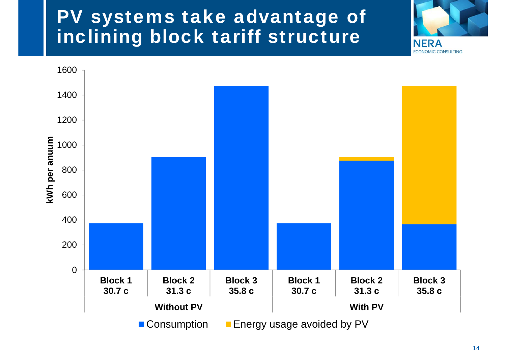## PV systems take advantage of inclining block tariff structure



**NERA**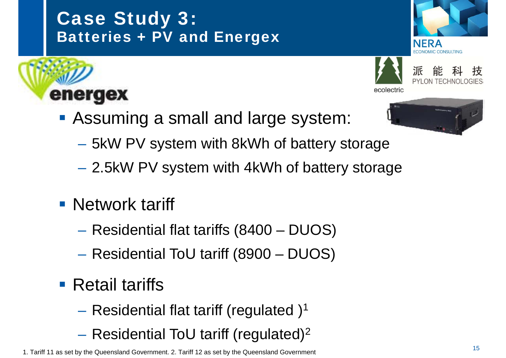#### Case Study 3: Batteries + PV and Energex







ecolectric

**Assuming a small and large system:** 



- 5kW PV system with 8kWh of battery storage
- –2.5kW PV system with 4kWh of battery storage
- Network tariff

energex

- –Residential flat tariffs (8400 – DUOS)
- Residential ToU tariff (8900 DUOS)
- **Retail tariffs** 
	- – $-$  Residential flat tariff (regulated )<sup>1</sup>
	- $-$  Residential ToU tariff (regulated)<sup>2</sup>

1. Tariff 11 as set by the Queensland Government. 2. Tariff 12 as set by the Queensland Government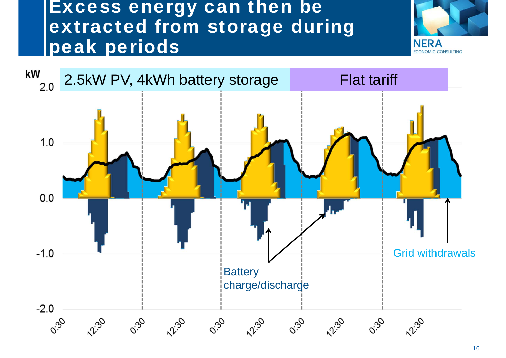#### Excess energy can then be extracted from storage during peak periods



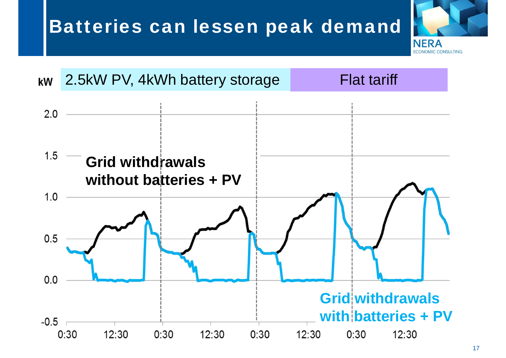# Batteries can lessen peak demand





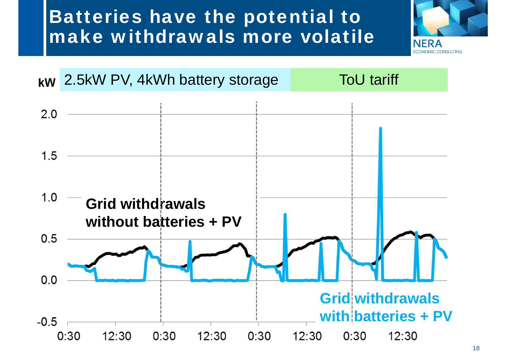# Batteries have the potential to make withdrawals more volatile